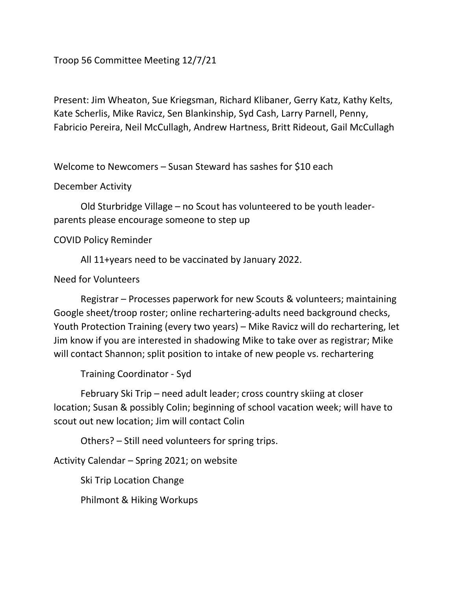Troop 56 Committee Meeting 12/7/21

Present: Jim Wheaton, Sue Kriegsman, Richard Klibaner, Gerry Katz, Kathy Kelts, Kate Scherlis, Mike Ravicz, Sen Blankinship, Syd Cash, Larry Parnell, Penny, Fabricio Pereira, Neil McCullagh, Andrew Hartness, Britt Rideout, Gail McCullagh

Welcome to Newcomers – Susan Steward has sashes for \$10 each

December Activity

 Old Sturbridge Village – no Scout has volunteered to be youth leaderparents please encourage someone to step up

COVID Policy Reminder

All 11+years need to be vaccinated by January 2022.

## Need for Volunteers

 Registrar – Processes paperwork for new Scouts & volunteers; maintaining Google sheet/troop roster; online rechartering-adults need background checks, Youth Protection Training (every two years) – Mike Ravicz will do rechartering, let Jim know if you are interested in shadowing Mike to take over as registrar; Mike will contact Shannon; split position to intake of new people vs. rechartering

Training Coordinator - Syd

 February Ski Trip – need adult leader; cross country skiing at closer location; Susan & possibly Colin; beginning of school vacation week; will have to scout out new location; Jim will contact Colin

Others? – Still need volunteers for spring trips.

Activity Calendar – Spring 2021; on website

Ski Trip Location Change

Philmont & Hiking Workups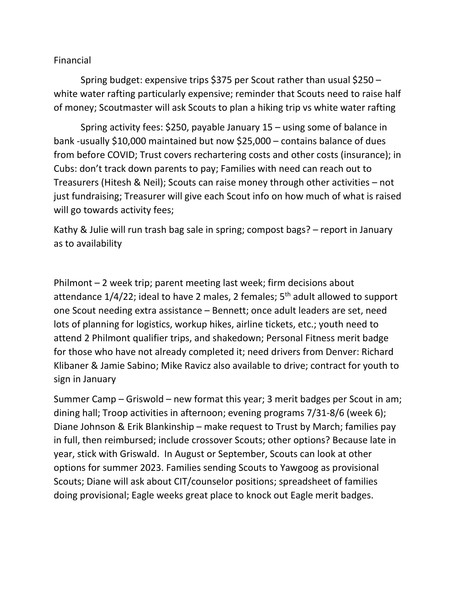## Financial

 Spring budget: expensive trips \$375 per Scout rather than usual \$250 – white water rafting particularly expensive; reminder that Scouts need to raise half of money; Scoutmaster will ask Scouts to plan a hiking trip vs white water rafting

 Spring activity fees: \$250, payable January 15 – using some of balance in bank -usually \$10,000 maintained but now \$25,000 – contains balance of dues from before COVID; Trust covers rechartering costs and other costs (insurance); in Cubs: don't track down parents to pay; Families with need can reach out to Treasurers (Hitesh & Neil); Scouts can raise money through other activities – not just fundraising; Treasurer will give each Scout info on how much of what is raised will go towards activity fees;

Kathy & Julie will run trash bag sale in spring; compost bags? – report in January as to availability

Philmont – 2 week trip; parent meeting last week; firm decisions about attendance  $1/4/22$ ; ideal to have 2 males, 2 females;  $5<sup>th</sup>$  adult allowed to support one Scout needing extra assistance – Bennett; once adult leaders are set, need lots of planning for logistics, workup hikes, airline tickets, etc.; youth need to attend 2 Philmont qualifier trips, and shakedown; Personal Fitness merit badge for those who have not already completed it; need drivers from Denver: Richard Klibaner & Jamie Sabino; Mike Ravicz also available to drive; contract for youth to sign in January

Summer Camp – Griswold – new format this year; 3 merit badges per Scout in am; dining hall; Troop activities in afternoon; evening programs 7/31-8/6 (week 6); Diane Johnson & Erik Blankinship – make request to Trust by March; families pay in full, then reimbursed; include crossover Scouts; other options? Because late in year, stick with Griswald. In August or September, Scouts can look at other options for summer 2023. Families sending Scouts to Yawgoog as provisional Scouts; Diane will ask about CIT/counselor positions; spreadsheet of families doing provisional; Eagle weeks great place to knock out Eagle merit badges.